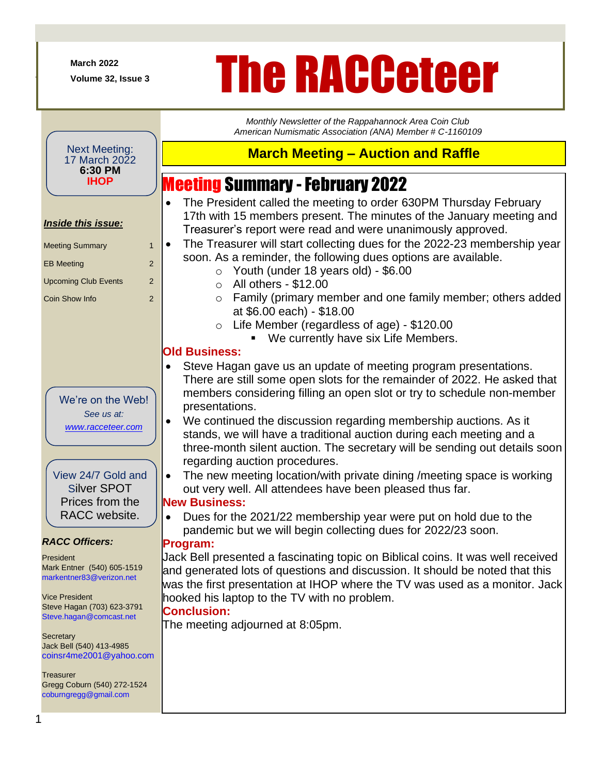**March 2022**

+

# March 2022<br>Volume 32, Issue 3<br>**The RACCeteer**

*Monthly Newsletter of the Rappahannock Area Coin Club American Numismatic Association (ANA) Member # C-1160109*

**March Meeting – Auction and Raffle**

• The President called the meeting to order 630PM Thursday February

Meeting Summary -February 2022

#### Next Meeting: 17 March 2022 **6:30 PM IHOP**

#### 1 *Inside this issue:* Meeting Summary 1 EB Meeting 2 Upcoming Club Events 2 Coin Show Info 2 *RACC Officers:* President Mark Entner (540) 605-1519 markentner83@verizon.net Vice President Steve Hagan (703) 623-3791 Steve.hagan@comcast.net **Secretary** Jack Bell (540) 413-4985 coinsr4me2001@yahoo.com **Treasurer** Gregg Coburn (540) 272-1524 coburngregg@gmail.com We're on the Web! *See us at: [www.racceteer.com](http://www.racceteer.com/)* View 24/7 Gold and Silver SPOT Prices from the RACC website. 17th with 15 members present. The minutes of the January meeting and Treasurer's report were read and were unanimously approved. • The Treasurer will start collecting dues for the 2022-23 membership year soon. As a reminder, the following dues options are available.  $\circ$  Youth (under 18 years old) - \$6.00  $\circ$  All others - \$12.00 o Family (primary member and one family member; others added at \$6.00 each) - \$18.00 o Life Member (regardless of age) - \$120.00 We currently have six Life Members. **Old Business:** Steve Hagan gave us an update of meeting program presentations. There are still some open slots for the remainder of 2022. He asked that members considering filling an open slot or try to schedule non-member presentations. • We continued the discussion regarding membership auctions. As it stands, we will have a traditional auction during each meeting and a three-month silent auction. The secretary will be sending out details soon regarding auction procedures. • The new meeting location/with private dining /meeting space is working out very well. All attendees have been pleased thus far. **New Business:** • Dues for the 2021/22 membership year were put on hold due to the pandemic but we will begin collecting dues for 2022/23 soon. **Program:** Jack Bell presented a fascinating topic on Biblical coins. It was well received and generated lots of questions and discussion. It should be noted that this was the first presentation at IHOP where the TV was used as a monitor. Jack hooked his laptop to the TV with no problem. **Conclusion:** The meeting adjourned at 8:05pm.